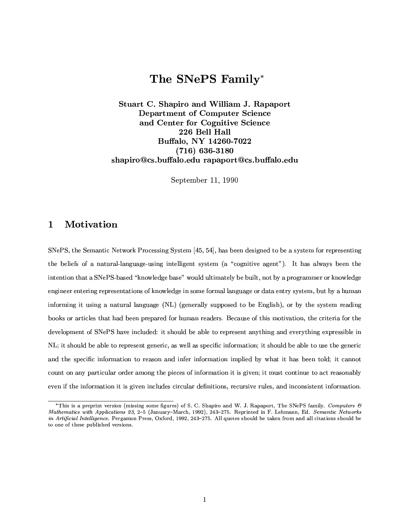# The SNePS Family\*

Stuart C. Shapiro and William J. Rapaport Department of Computer Science and Center for Cognitive Science 226 Bell Hall Buffalo, NY 14260-7022  $(716)$  636-3180 shapiro@cs.buffalo.edu rapaport@cs.buffalo.edu

September 11, 1990

## Motivation  $\mathbf{1}$

SNePS, the Semantic Network Processing System [45, 54], has been designed to be a system for representing the beliefs of a natural-language-using intelligent system (a "cognitive agent"). It has always been the intention that a SNePS-based "knowledge base" would ultimately be built, not by a programmer or knowledge engineer entering representations of knowledge in some formal language or data entry system, but by a human informing it using a natural language (NL) (generally supposed to be English), or by the system reading books or articles that had been prepared for human readers. Because of this motivation, the criteria for the development of SNePS have included: it should be able to represent anything and everything expressible in NL; it should be able to represent generic, as well as specific information; it should be able to use the generic and the specific information to reason and infer information implied by what it has been told; it cannot count on any particular order among the pieces of information it is given; it must continue to act reasonably even if the information it is given includes circular definitions, recursive rules, and inconsistent information.

<sup>\*</sup>This is a preprint version (missing some figures) of S. C. Shapiro and W. J. Rapaport, The SNePS family. Computers & Mathematics with Applications 23, 2-5 (January-March, 1992), 243-275. Reprinted in F. Lehmann, Ed. Semantic Networks in Artificial Intelligence. Pergamon Press, Oxford, 1992, 243-275. All quotes should be taken from and all citations should be to one of these published versions.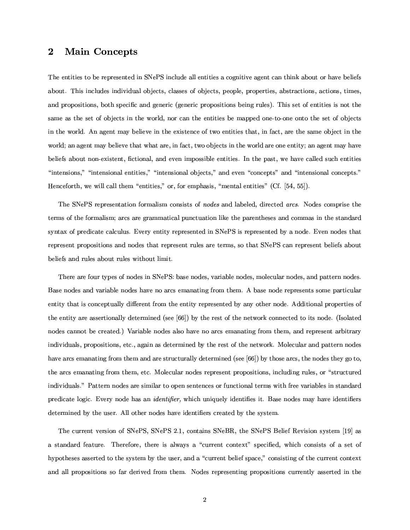### **Main Concepts**  $\bf{2}$

The entities to be represented in SNePS include all entities a cognitive agent can think about or have beliefs about. This includes individual objects, classes of objects, people, properties, abstractions, actions, times, and propositions, both specific and generic (generic propositions being rules). This set of entities is not the same as the set of objects in the world, nor can the entities be mapped one-to-one onto the set of objects in the world. An agent may believe in the existence of two entities that, in fact, are the same object in the world; an agent may believe that what are, in fact, two objects in the world are one entity; an agent may have beliefs about non-existent, fictional, and even impossible entities. In the past, we have called such entities "intensions," "intensional entities," "intensional objects," and even "concepts" and "intensional concepts." Henceforth, we will call them "entities," or, for emphasis, "mental entities" (Cf. [54, 55]).

The SNePS representation formalism consists of nodes and labeled, directed arcs. Nodes comprise the terms of the formalism; arcs are grammatical punctuation like the parentheses and commas in the standard syntax of predicate calculus. Every entity represented in SNePS is represented by a node. Even nodes that represent propositions and nodes that represent rules are terms, so that SNePS can represent beliefs about beliefs and rules about rules without limit.

There are four types of nodes in SNePS: base nodes, variable nodes, molecular nodes, and pattern nodes. Base nodes and variable nodes have no arcs emanating from them. A base node represents some particular entity that is conceptually different from the entity represented by any other node. Additional properties of the entity are assertionally determined (see [66]) by the rest of the network connected to its node. (Isolated nodes cannot be created.) Variable nodes also have no arcs emanating from them, and represent arbitrary individuals, propositions, etc., again as determined by the rest of the network. Molecular and pattern nodes have arcs emanating from them and are structurally determined (see  $[66]$ ) by those arcs, the nodes they go to, the arcs emanating from them, etc. Molecular nodes represent propositions, including rules, or "structured individuals." Pattern nodes are similar to open sentences or functional terms with free variables in standard predicate logic. Every node has an *identifier*, which uniquely identifies it. Base nodes may have identifiers determined by the user. All other nodes have identifiers created by the system.

The current version of SNePS, SNePS 2.1, contains SNeBR, the SNePS Belief Revision system [19] as a standard feature. Therefore, there is always a "current context" specified, which consists of a set of hypotheses asserted to the system by the user, and a "current belief space," consisting of the current context and all propositions so far derived from them. Nodes representing propositions currently asserted in the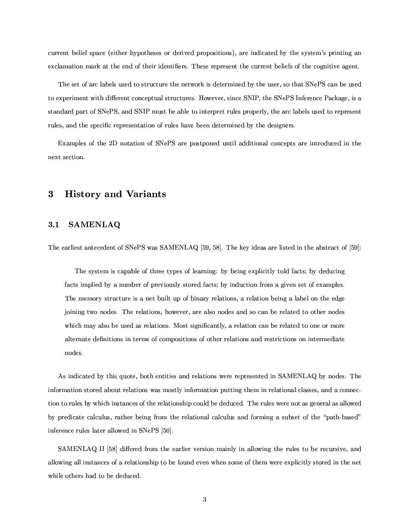current belief space (either hypotheses or derived propositions), are indicated by the system's printing an exclamation mark at the end of their identifiers. These represent the current beliefs of the cognitive agent.

The set of arc labels used to structure the network is determined by the user, so that SNePS can be used to experiment with different conceptual structures. However, since SNIP, the SNePS Inference Package, is a standard part of SNePS, and SNIP must be able to interpret rules properly, the arc labels used to represent rules, and the specific representation of rules have been determined by the designers.

Examples of the 2D notation of SNePS are postponed until additional concepts are introduced in the next section.

## $\bf{3}$ **History and Variants**

#### **SAMENLAQ**  $3.1$

The earliest antecedent of SNePS was SAMENLAQ [59, 58]. The key ideas are listed in the abstract of [59]:

The system is capable of three types of learning: by being explicitly told facts; by deducing facts implied by a number of previously stored facts; by induction from a given set of examples. The memory structure is a net built up of binary relations, a relation being a label on the edge joining two nodes. The relations, however, are also nodes and so can be related to other nodes which may also be used as relations. Most significantly, a relation can be related to one or more alternate definitions in terms of compositions of other relations and restrictions on intermediate nodes.

As indicated by this quote, both entities and relations were represented in SAMENLAQ by nodes. The information stored about relations was mostly information putting them in relational classes, and a connection to rules by which instances of the relationship could be deduced. The rules were not as general as allowed by predicate calculus, rather being from the relational calculus and forming a subset of the "path-based" inference rules later allowed in SNePS [50].

SAMENLAQ II [58] differed from the earlier version mainly in allowing the rules to be recursive, and allowing all instances of a relationship to be found even when some of them were explicitly stored in the net while others had to be deduced.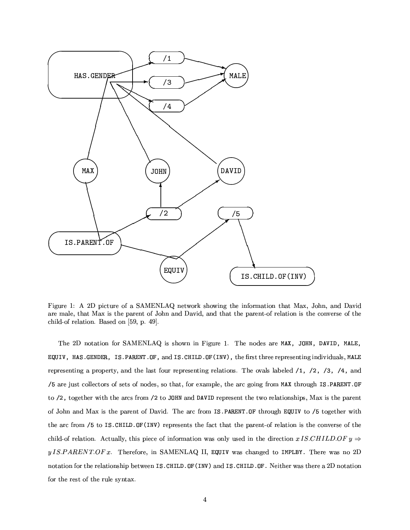

Figure 1: A 2D picture of a SAMENLAQ network showing the information that Max, John, and David are male, that Max is the parent of John and David, and that the parent-of relation is the converse of the child-of relation. Based on [59, p. 49].

The 2D notation for SAMENLAQ is shown in Figure 1. The nodes are MAX, JOHN, DAVID, MALE, EQUIV, HAS. GENDER, IS. PARENT. OF, and IS. CHILD. OF (INV), the first three representing individuals, MALE representing a property, and the last four representing relations. The ovals labeled /1, /2, /3, /4, and /5 are just collectors of sets of nodes, so that, for example, the arc going from MAX through IS. PARENT. OF to /2, together with the arcs from /2 to JOHN and DAVID represent the two relationships, Max is the parent of John and Max is the parent of David. The arc from IS. PARENT. OF through EQUIV to /5 together with the arc from /5 to IS.CHILD.OF(INV) represents the fact that the parent-of relation is the converse of the child-of relation. Actually, this piece of information was only used in the direction x IS.CHILD.OF  $y \Rightarrow$ y IS.PARENT.OF x. Therefore, in SAMENLAQ II, EQUIV was changed to IMPLBY. There was no 2D notation for the relationship between IS. CHILD. OF (INV) and IS. CHILD. OF. Neither was there a 2D notation for the rest of the rule syntax.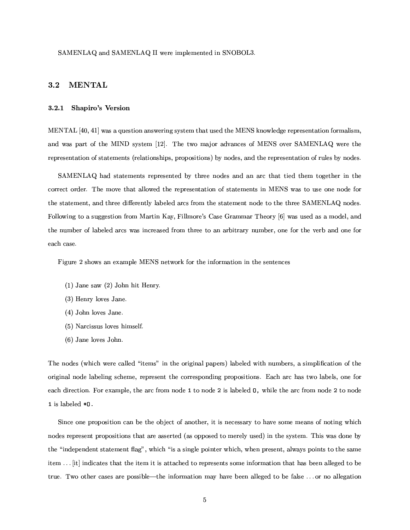SAMENLAQ and SAMENLAQ II were implemented in SNOBOL3.

#### $3.2$ **MENTAL**

#### **Shapiro's Version** 3.2.1

MENTAL [40, 41] was a question answering system that used the MENS knowledge representation formalism, and was part of the MIND system [12]. The two major advances of MENS over SAMENLAQ were the representation of statements (relationships, propositions) by nodes, and the representation of rules by nodes.

SAMENLAQ had statements represented by three nodes and an arc that tied them together in the correct order. The move that allowed the representation of statements in MENS was to use one node for the statement, and three differently labeled arcs from the statement node to the three SAMENLAQ nodes. Following to a suggestion from Martin Kay, Fillmore's Case Grammar Theory [6] was used as a model, and the number of labeled arcs was increased from three to an arbitrary number, one for the verb and one for each case.

Figure 2 shows an example MENS network for the information in the sentences

- $(1)$  Jane saw  $(2)$  John hit Henry.
- (3) Henry loves Jane.
- (4) John loves Jane.
- (5) Narcissus loves himself.
- $(6)$  Jane loves John.

The nodes (which were called "items" in the original papers) labeled with numbers, a simplification of the original node labeling scheme, represent the corresponding propositions. Each arc has two labels, one for each direction. For example, the arc from node 1 to node 2 is labeled 0, while the arc from node 2 to node  $1$  is labeled  $*0$ .

Since one proposition can be the object of another, it is necessary to have some means of noting which nodes represent propositions that are asserted (as opposed to merely used) in the system. This was done by the "independent statement flag", which "is a single pointer which, when present, always points to the same item ... [it] indicates that the item it is attached to represents some information that has been alleged to be true. Two other cases are possible—the information may have been alleged to be false ... or no allegation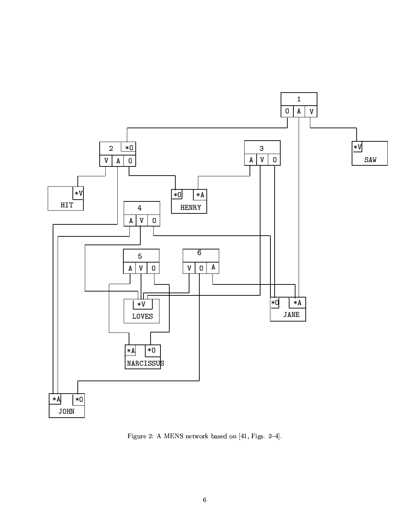

Figure 2: A MENS network based on [41, Figs. 2-4].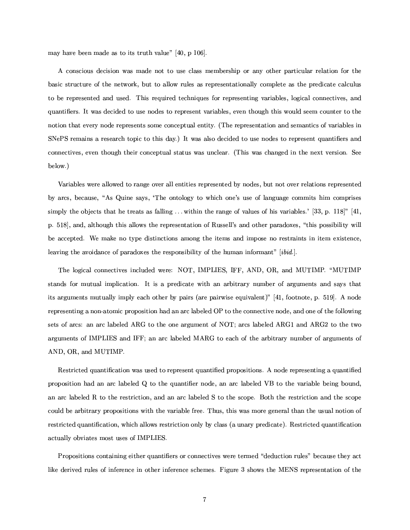may have been made as to its truth value" [40, p 106].

A conscious decision was made not to use class membership or any other particular relation for the basic structure of the network, but to allow rules as representationally complete as the predicate calculus to be represented and used. This required techniques for representing variables, logical connectives, and quantifiers. It was decided to use nodes to represent variables, even though this would seem counter to the notion that every node represents some conceptual entity. (The representation and semantics of variables in SNePS remains a research topic to this day.) It was also decided to use nodes to represent quantifiers and connectives, even though their conceptual status was unclear. (This was changed in the next version. See below.)

Variables were allowed to range over all entities represented by nodes, but not over relations represented by arcs, because, "As Quine says, 'The ontology to which one's use of language commits him comprises simply the objects that he treats as falling ... within the range of values of his variables.' [33, p. 118]" [41, p. 518, and, although this allows the representation of Russell's and other paradoxes, "this possibility will be accepted. We make no type distinctions among the items and impose no restraints in item existence. leaving the avoidance of paradoxes the responsibility of the human informant" [ibid.].

The logical connectives included were: NOT, IMPLIES, IFF, AND, OR, and MUTIMP. "MUTIMP stands for mutual implication. It is a predicate with an arbitrary number of arguments and says that its arguments mutually imply each other by pairs (are pairwise equivalent)" [41, footnote, p. 519]. A node representing a non-atomic proposition had an arc labeled OP to the connective node, and one of the following sets of arcs: an arc labeled ARG to the one argument of NOT; arcs labeled ARG1 and ARG2 to the two arguments of IMPLIES and IFF; an arc labeled MARG to each of the arbitrary number of arguments of AND, OR, and MUTIMP.

Restricted quantification was used to represent quantified propositions. A node representing a quantified proposition had an arc labeled Q to the quantifier node, an arc labeled VB to the variable being bound, an arc labeled R to the restriction, and an arc labeled S to the scope. Both the restriction and the scope could be arbitrary propositions with the variable free. Thus, this was more general than the usual notion of restricted quantification, which allows restriction only by class (a unary predicate). Restricted quantification actually obviates most uses of IMPLIES.

Propositions containing either quantifiers or connectives were termed "deduction rules" because they act like derived rules of inference in other inference schemes. Figure 3 shows the MENS representation of the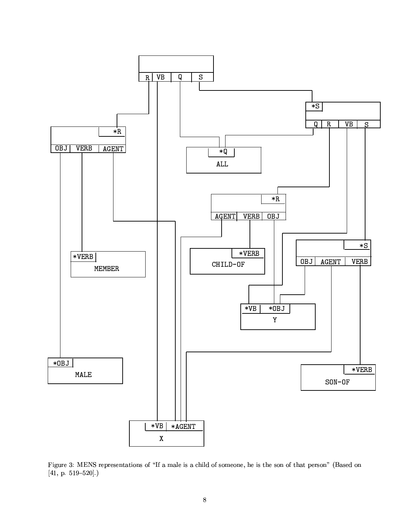

Figure 3: MENS representations of "If a male is a child of someone, he is the son of that person" (Based on  $[41, p. 519 - 520].$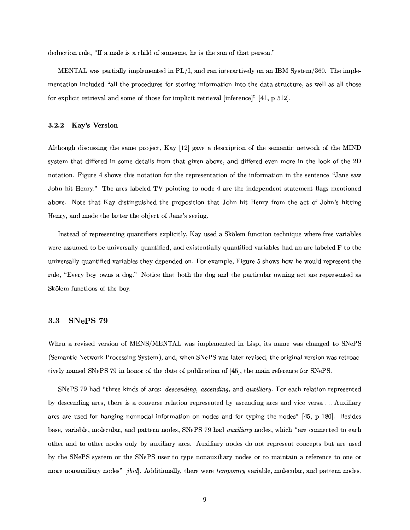deduction rule, "If a male is a child of someone, he is the son of that person."

MENTAL was partially implemented in PL/I, and ran interactively on an IBM System/360. The implementation included "all the procedures for storing information into the data structure, as well as all those for explicit retrieval and some of those for implicit retrieval [inference]"  $[41, p 512]$ .

#### $3.2.2$ Kay's Version

Although discussing the same project, Kay [12] gave a description of the semantic network of the MIND system that differed in some details from that given above, and differed even more in the look of the 2D notation. Figure 4 shows this notation for the representation of the information in the sentence "Jane saw John hit Henry." The arcs labeled TV pointing to node 4 are the independent statement flags mentioned above. Note that Kay distinguished the proposition that John hit Henry from the act of John's hitting Henry, and made the latter the object of Jane's seeing.

Instead of representing quantifiers explicitly, Kay used a Skölem function technique where free variables were assumed to be universally quantified, and existentially quantified variables had an arc labeled F to the universally quantified variables they depended on. For example, Figure 5 shows how he would represent the rule, "Every boy owns a dog." Notice that both the dog and the particular owning act are represented as Skölem functions of the boy.

#### $3.3$ SNePS 79

When a revised version of MENS/MENTAL was implemented in Lisp, its name was changed to SNePS (Semantic Network Processing System), and, when SNePS was later revised, the original version was retroactively named SNePS 79 in honor of the date of publication of [45], the main reference for SNePS.

SNePS 79 had "three kinds of arcs: *descending, ascending,* and *auxiliary*. For each relation represented by descending arcs, there is a converse relation represented by ascending arcs and vice versa ... Auxiliary arcs are used for hanging nonnodal information on nodes and for typing the nodes" [45, p 180]. Besides base, variable, molecular, and pattern nodes, SNePS 79 had auxiliary nodes, which "are connected to each other and to other nodes only by auxiliary arcs. Auxiliary nodes do not represent concepts but are used by the SNePS system or the SNePS user to type nonauxiliary nodes or to maintain a reference to one or more nonauxiliary nodes" [ibid]. Additionally, there were temporary variable, molecular, and pattern nodes.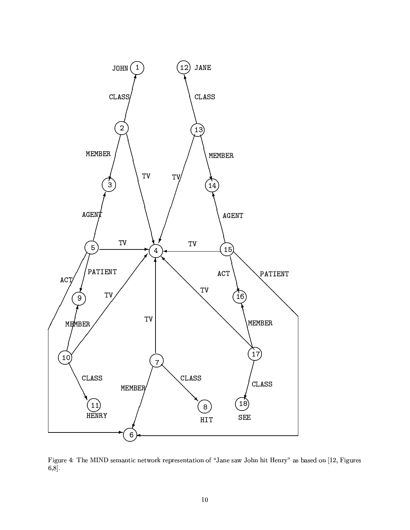

Figure 4: The MIND semantic network representation of "Jane saw John hit Henry" as based on [12, Figures  $6, 8$ ].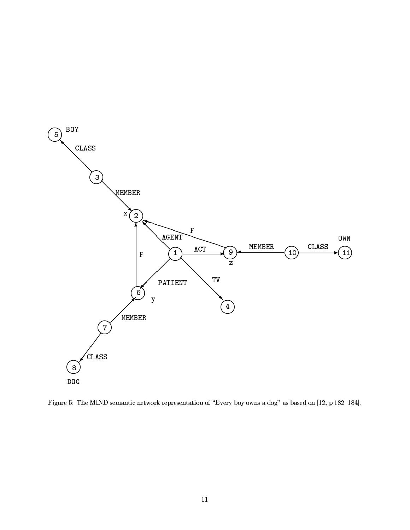

Figure 5: The MIND semantic network representation of "Every boy owns a dog" as based on [12, p 182-184].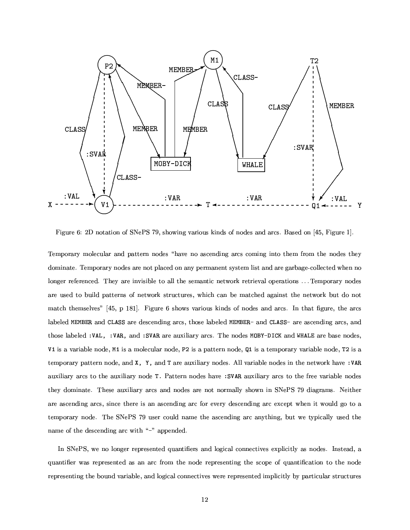

Figure 6: 2D notation of SNePS 79, showing various kinds of nodes and arcs. Based on [45, Figure 1].

Temporary molecular and pattern nodes "have no ascending arcs coming into them from the nodes they dominate. Temporary nodes are not placed on any permanent system list and are garbage-collected when no longer referenced. They are invisible to all the semantic network retrieval operations ... Temporary nodes are used to build patterns of network structures, which can be matched against the network but do not match themselves" [45, p 181]. Figure 6 shows various kinds of nodes and arcs. In that figure, the arcs labeled MEMBER and CLASS are descending arcs, those labeled MEMBER- and CLASS- are ascending arcs, and those labeled : VAL, : VAR, and : SVAR are auxiliary arcs. The nodes MOBY-DICK and WHALE are base nodes, V1 is a variable node, M1 is a molecular node, P2 is a pattern node, Q1 is a temporary variable node, T2 is a temporary pattern node, and X, Y, and T are auxiliary nodes. All variable nodes in the network have : VAR auxiliary arcs to the auxiliary node T. Pattern nodes have :SVAR auxiliary arcs to the free variable nodes they dominate. These auxiliary arcs and nodes are not normally shown in SNePS 79 diagrams. Neither are ascending arcs, since there is an ascending arc for every descending arc except when it would go to a temporary node. The SNePS 79 user could name the ascending arc anything, but we typically used the name of the descending arc with "-" appended.

In SNePS, we no longer represented quantifiers and logical connectives explicitly as nodes. Instead, a quantifier was represented as an arc from the node representing the scope of quantification to the node representing the bound variable, and logical connectives were represented implicitly by particular structures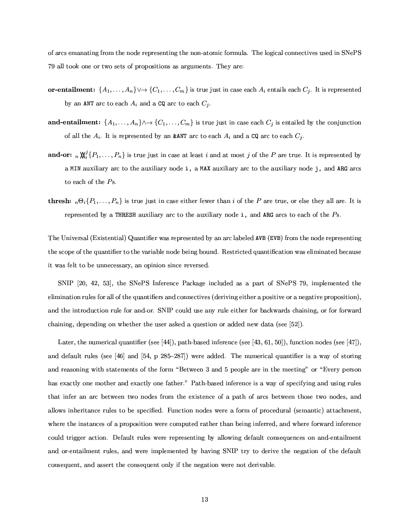of arcs emanating from the node representing the non-atomic formula. The logical connectives used in SNePS 79 all took one or two sets of propositions as arguments. They are:

- or-entailment:  $\{A_1,\ldots,A_n\}\vee \rightarrow \{C_1,\ldots,C_m\}$  is true just in case each  $A_i$  entails each  $C_j$ . It is represented by an ANT arc to each  $A_i$  and a CQ arc to each  $C_j$ .
- **and-entailment:**  $\{A_1, \ldots, A_n\} \wedge \rightarrow \{C_1, \ldots, C_m\}$  is true just in case each  $C_j$  is entailed by the conjunction of all the  $A_i$ . It is represented by an &ANT arc to each  $A_i$  and a CQ arc to each  $C_j$ .
- **and-or:**  $_n \mathsf{W}_i^j \{P_1, \ldots, P_n\}$  is true just in case at least i and at most j of the P are true. It is represented by a MIN auxiliary arc to the auxiliary node i, a MAX auxiliary arc to the auxiliary node j, and ARG arcs to each of the  $Ps$ .
- thresh:  ${}_{n}\Theta_i\{P_1,\ldots,P_n\}$  is true just in case either fewer than i of the P are true, or else they all are. It is represented by a THRESH auxiliary arc to the auxiliary node i, and ARG arcs to each of the Ps.

The Universal (Existential) Quantifier was represented by an arc labeled AVB (EVB) from the node representing the scope of the quantifier to the variable node being bound. Restricted quantification was eliminated because it was felt to be unnecessary, an opinion since reversed.

SNIP [20, 42, 53], the SNePS Inference Package included as a part of SNePS 79, implemented the elimination rules for all of the quantifiers and connectives (deriving either a positive or a negative proposition), and the introduction rule for and-or. SNIP could use any rule either for backwards chaining, or for forward chaining, depending on whether the user asked a question or added new data (see  $[52]$ ).

Later, the numerical quantifier (see [44]), path-based inference (see [43, 61, 50]), function nodes (see [47]), and default rules (see  $[46]$  and  $[54, p 285-287]$ ) were added. The numerical quantifier is a way of storing and reasoning with statements of the form "Between 3 and 5 people are in the meeting" or "Every person has exactly one mother and exactly one father." Path-based inference is a way of specifying and using rules that infer an arc between two nodes from the existence of a path of arcs between those two nodes, and allows inheritance rules to be specified. Function nodes were a form of procedural (semantic) attachment, where the instances of a proposition were computed rather than being inferred, and where forward inference could trigger action. Default rules were representing by allowing default consequences on and-entailment and or-entailment rules, and were implemented by having SNIP try to derive the negation of the default consequent, and assert the consequent only if the negation were not derivable.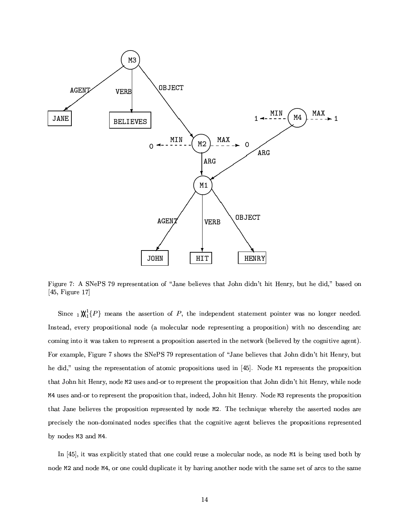

Figure 7: A SNePS 79 representation of "Jane believes that John didn't hit Henry, but he did," based on  $[45, Figure 17]$ 

Since  ${}_1 \mathsf{W}_1^1\{P\}$  means the assertion of P, the independent statement pointer was no longer needed. Instead, every propositional node (a molecular node representing a proposition) with no descending arc coming into it was taken to represent a proposition asserted in the network (believed by the cognitive agent). For example, Figure 7 shows the SNePS 79 representation of "Jane believes that John didn't hit Henry, but he did," using the representation of atomic propositions used in [45]. Node M1 represents the proposition that John hit Henry, node M2 uses and-or to represent the proposition that John didn't hit Henry, while node M4 uses and-or to represent the proposition that, indeed, John hit Henry. Node M3 represents the proposition that Jane believes the proposition represented by node M2. The technique whereby the asserted nodes are precisely the non-dominated nodes specifies that the cognitive agent believes the propositions represented by nodes M3 and M4.

In [45], it was explicitly stated that one could reuse a molecular node, as node M1 is being used both by node M2 and node M4, or one could duplicate it by having another node with the same set of arcs to the same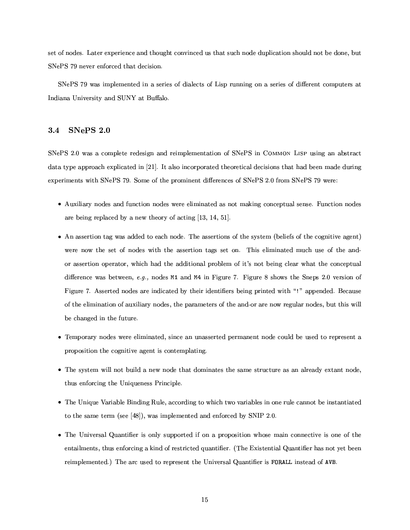set of nodes. Later experience and thought convinced us that such node duplication should not be done, but SNePS 79 never enforced that decision.

SNePS 79 was implemented in a series of dialects of Lisp running on a series of different computers at Indiana University and SUNY at Buffalo.

#### $SNePS 2.0$  $3.4$

SNePS 2.0 was a complete redesign and reimplementation of SNePS in COMMON LISP using an abstract data type approach explicated in [21]. It also incorporated theoretical decisions that had been made during experiments with SNePS 79. Some of the prominent differences of SNePS 2.0 from SNePS 79 were:

- Auxiliary nodes and function nodes were eliminated as not making conceptual sense. Function nodes are being replaced by a new theory of acting  $[13, 14, 51]$ .
- An assertion tag was added to each node. The assertions of the system (beliefs of the cognitive agent) were now the set of nodes with the assertion tags set on. This eliminated much use of the andor assertion operator, which had the additional problem of it's not being clear what the conceptual difference was between, e.g., nodes M1 and M4 in Figure 7. Figure 8 shows the Sneps 2.0 version of Figure 7. Asserted nodes are indicated by their identifiers being printed with "!" appended. Because of the elimination of auxiliary nodes, the parameters of the and-or are now regular nodes, but this will be changed in the future.
- Temporary nodes were eliminated, since an unasserted permanent node could be used to represent a proposition the cognitive agent is contemplating.
- The system will not build a new node that dominates the same structure as an already extant node. thus enforcing the Uniqueness Principle.
- The Unique Variable Binding Rule, according to which two variables in one rule cannot be instantiated to the same term (see  $[48]$ ), was implemented and enforced by SNIP 2.0.
- The Universal Quantifier is only supported if on a proposition whose main connective is one of the entailments, thus enforcing a kind of restricted quantifier. (The Existential Quantifier has not yet been reimplemented.) The arc used to represent the Universal Quantifier is FORALL instead of AVB.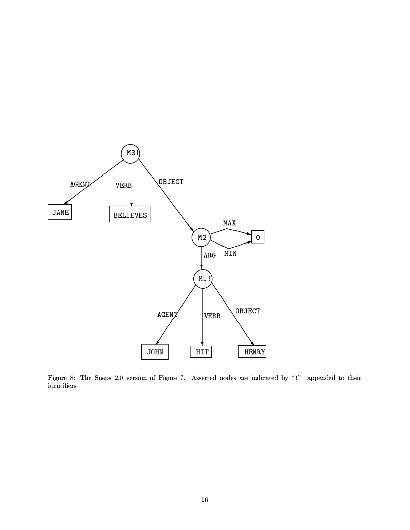

Figure 8: The Sneps 2.0 version of Figure 7. Asserted nodes are indicated by "!" appended to their  $\!$  identifiers.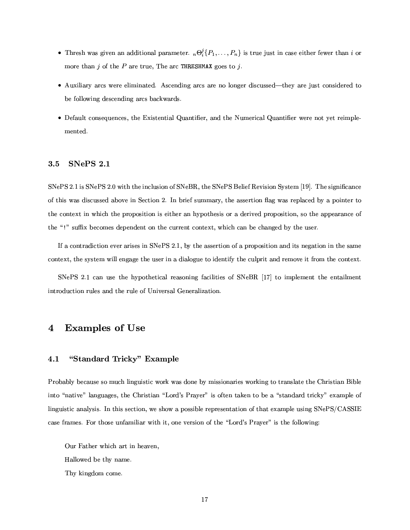- Thresh was given an additional parameter.  ${}_n\Theta_i^j\{P_1,\ldots,P_n\}$  is true just in case either fewer than i or more than  $j$  of the  $P$  are true, The arc THRESHMAX goes to  $j$ .
- Auxiliary arcs were eliminated. Ascending arcs are no longer discussed—they are just considered to be following descending arcs backwards.
- Default consequences, the Existential Quantifier, and the Numerical Quantifier were not yet reimplemented.

#### $SNePS$  2.1 3.5

SNePS 2.1 is SNePS 2.0 with the inclusion of SNeBR, the SNePS Belief Revision System [19]. The significance of this was discussed above in Section 2. In brief summary, the assertion flag was replaced by a pointer to the context in which the proposition is either an hypothesis or a derived proposition, so the appearance of the "!" suffix becomes dependent on the current context, which can be changed by the user.

If a contradiction ever arises in SNePS 2.1, by the assertion of a proposition and its negation in the same context, the system will engage the user in a dialogue to identify the culprit and remove it from the context.

SNePS 2.1 can use the hypothetical reasoning facilities of SNeBR [17] to implement the entailment introduction rules and the rule of Universal Generalization.

# **Examples of Use**  $\boldsymbol{4}$

### "Standard Tricky" Example 4.1

Probably because so much linguistic work was done by missionaries working to translate the Christian Bible into "native" languages, the Christian "Lord's Prayer" is often taken to be a "standard tricky" example of linguistic analysis. In this section, we show a possible representation of that example using SNePS/CASSIE case frames. For those unfamiliar with it, one version of the "Lord's Prayer" is the following:

Our Father which art in heaven, Hallowed be thy name. Thy kingdom come.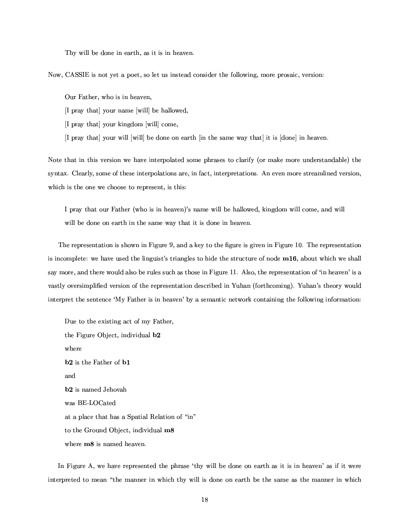Thy will be done in earth, as it is in heaven.

Now, CASSIE is not yet a poet, so let us instead consider the following, more prosaic, version:

Our Father, who is in heaven,

[I pray that] your name [will] be hallowed,

[I pray that] your kingdom [will] come,

If pray that your will will be done on earth in the same way that it is [done] in heaven.

Note that in this version we have interpolated some phrases to clarify (or make more understandable) the syntax. Clearly, some of these interpolations are, in fact, interpretations. An even more streamlined version, which is the one we choose to represent, is this:

I pray that our Father (who is in heaven)'s name will be hallowed, kingdom will come, and will will be done on earth in the same way that it is done in heaven.

The representation is shown in Figure 9, and a key to the figure is given in Figure 10. The representation is incomplete: we have used the linguist's triangles to hide the structure of node  $m16$ , about which we shall say more, and there would also be rules such as those in Figure 11. Also, the representation of 'in heaven' is a vastly oversimplified version of the representation described in Yuhan (forthcoming). Yuhan's theory would interpret the sentence 'My Father is in heaven' by a semantic network containing the following information:

Due to the existing act of my Father. the Figure Object, individual b2 where **b2** is the Father of **b1** and **b2** is named Jehovah was BE-LOCated at a place that has a Spatial Relation of "in" to the Ground Object, individual m8 where m8 is named heaven.

In Figure A, we have represented the phrase 'thy will be done on earth as it is in heaven' as if it were interpreted to mean "the manner in which thy will is done on earth be the same as the manner in which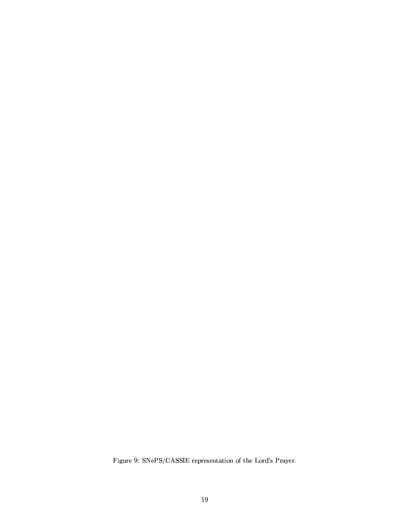Figure 9:  $\mathrm{SNePS}/\mathrm{CASSIE}$  representation of the Lord's Prayer.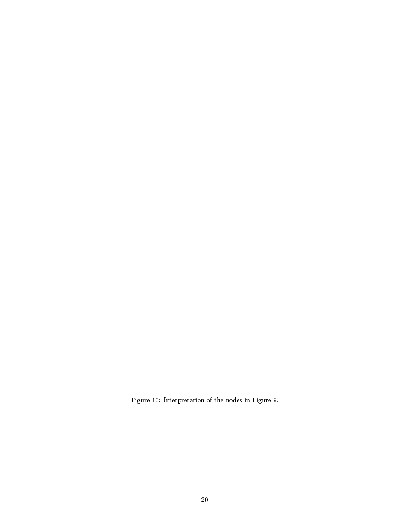Figure 10: Interpretation of the nodes in Figure 9.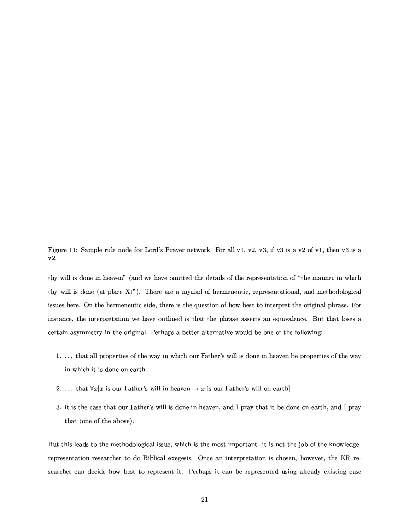Figure 11: Sample rule node for Lord's Prayer network: For all v1, v2, v3, if v3 is a v2 of v1, then v3 is a  $v2.$ 

thy will is done in heaven" (and we have omitted the details of the representation of "the manner in which thy will is done (at place  $X$ )"). There are a myriad of hermeneutic, representational, and methodological issues here. On the hermeneutic side, there is the question of how best to interpret the original phrase. For instance, the interpretation we have outlined is that the phrase asserts an equivalence. But that loses a certain asymmetry in the original. Perhaps a better alternative would be one of the following:

- 1. ... that all properties of the way in which our Father's will is done in heaven be properties of the way in which it is done on earth.
- 2. ... that  $\forall x [x \text{ is our Father's will in hexen } \rightarrow x \text{ is our Father's will on earth}]$
- 3. it is the case that our Father's will is done in heaven, and I pray that it be done on earth, and I pray that  $\langle$  one of the above $\rangle$ .

But this leads to the methodological issue, which is the most important: it is not the job of the knowledgerepresentation researcher to do Biblical exegesis. Once an interpretation is chosen, however, the KR researcher can decide how best to represent it. Perhaps it can be represented using already existing case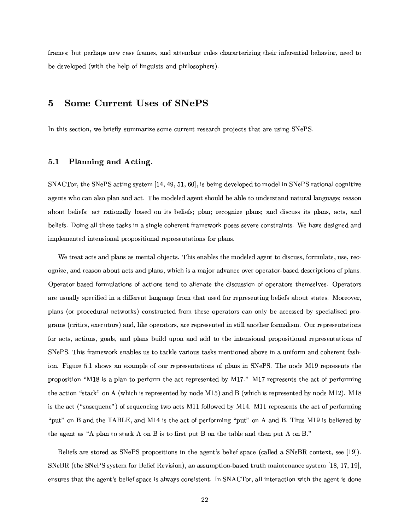frames; but perhaps new case frames, and attendant rules characterizing their inferential behavior, need to be developed (with the help of linguists and philosophers).

# **Some Current Uses of SNePS**  $\overline{5}$

In this section, we briefly summarize some current research projects that are using SNePS.

#### $5.1$ Planning and Acting.

SNACTor, the SNePS acting system [14, 49, 51, 60], is being developed to model in SNePS rational cognitive agents who can also plan and act. The modeled agent should be able to understand natural language; reason about beliefs; act rationally based on its beliefs; plan; recognize plans; and discuss its plans, acts, and beliefs. Doing all these tasks in a single coherent framework poses severe constraints. We have designed and implemented intensional propositional representations for plans.

We treat acts and plans as mental objects. This enables the modeled agent to discuss, formulate, use, recognize, and reason about acts and plans, which is a major advance over operator-based descriptions of plans. Operator-based formulations of actions tend to alienate the discussion of operators themselves. Operators are usually specified in a different language from that used for representing beliefs about states. Moreover, plans (or procedural networks) constructed from these operators can only be accessed by specialized programs (critics, executors) and, like operators, are represented in still another formalism. Our representations for acts, actions, goals, and plans build upon and add to the intensional propositional representations of SNePS. This framework enables us to tackle various tasks mentioned above in a uniform and coherent fashion. Figure 5.1 shows an example of our representations of plans in SNePS. The node M19 represents the proposition "M18 is a plan to perform the act represented by M17." M17 represents the act of performing the action "stack" on A (which is represented by node M15) and B (which is represented by node M12). M18 is the act ("snsequene") of sequencing two acts M11 followed by M14. M11 represents the act of performing "put" on B and the TABLE, and M14 is the act of performing "put" on A and B. Thus M19 is believed by the agent as "A plan to stack A on B is to first put B on the table and then put A on B."

Beliefs are stored as SNePS propositions in the agent's belief space (called a SNeBR context, see [19]). SNeBR (the SNePS system for Belief Revision), an assumption-based truth maintenance system  $[18, 17, 19]$ , ensures that the agent's belief space is always consistent. In SNACTor, all interaction with the agent is done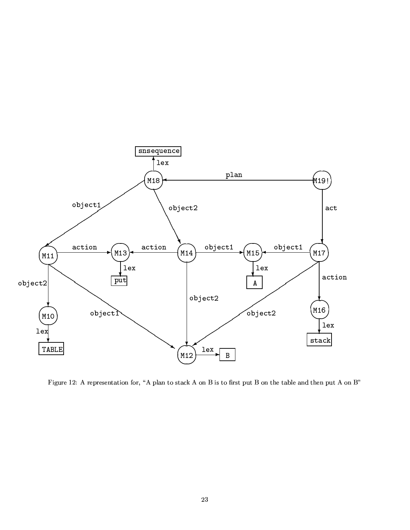

Figure 12: A representation for, "A plan to stack A on B is to first put B on the table and then put A on B"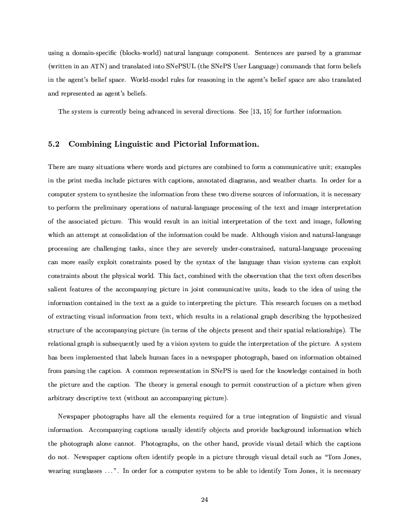using a domain-specific (blocks-world) natural language component. Sentences are parsed by a grammar (written in an ATN) and translated into SNePSUL (the SNePS User Language) commands that form beliefs in the agent's belief space. World-model rules for reasoning in the agent's belief space are also translated and represented as agent's beliefs.

The system is currently being advanced in several directions. See [13, 15] for further information.

#### $5.2$ Combining Linguistic and Pictorial Information.

There are many situations where words and pictures are combined to form a communicative unit; examples in the print media include pictures with captions, annotated diagrams, and weather charts. In order for a computer system to synthesize the information from these two diverse sources of information, it is necessary to perform the preliminary operations of natural-language processing of the text and image interpretation of the associated picture. This would result in an initial interpretation of the text and image, following which an attempt at consolidation of the information could be made. Although vision and natural-language processing are challenging tasks, since they are severely under-constrained, natural-language processing can more easily exploit constraints posed by the syntax of the language than vision systems can exploit constraints about the physical world. This fact, combined with the observation that the text often describes salient features of the accompanying picture in joint communicative units, leads to the idea of using the information contained in the text as a guide to interpreting the picture. This research focuses on a method of extracting visual information from text, which results in a relational graph describing the hypothesized structure of the accompanying picture (in terms of the objects present and their spatial relationships). The relational graph is subsequently used by a vision system to guide the interpretation of the picture. A system has been implemented that labels human faces in a newspaper photograph, based on information obtained from parsing the caption. A common representation in SNePS is used for the knowledge contained in both the picture and the caption. The theory is general enough to permit construction of a picture when given arbitrary descriptive text (without an accompanying picture).

Newspaper photographs have all the elements required for a true integration of linguistic and visual information. Accompanying captions usually identify objects and provide background information which the photograph alone cannot. Photographs, on the other hand, provide visual detail which the captions do not. Newspaper captions often identify people in a picture through visual detail such as "Tom Jones, wearing sunglasses ...". In order for a computer system to be able to identify Tom Jones, it is necessary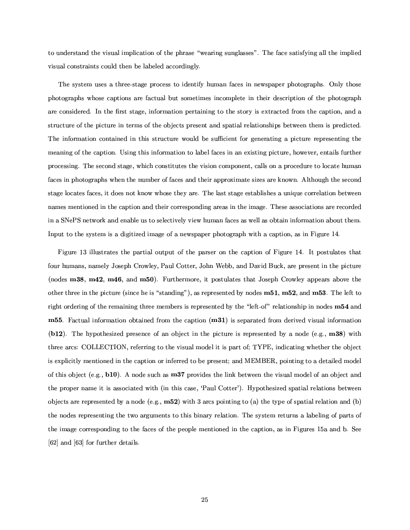to understand the visual implication of the phrase "wearing sunglasses". The face satisfying all the implied visual constraints could then be labeled accordingly.

The system uses a three-stage process to identify human faces in newspaper photographs. Only those photographs whose captions are factual but sometimes incomplete in their description of the photograph are considered. In the first stage, information pertaining to the story is extracted from the caption, and a structure of the picture in terms of the objects present and spatial relationships between them is predicted. The information contained in this structure would be sufficient for generating a picture representing the meaning of the caption. Using this information to label faces in an existing picture, however, entails further processing. The second stage, which constitutes the vision component, calls on a procedure to locate human faces in photographs when the number of faces and their approximate sizes are known. Although the second stage locates faces, it does not know whose they are. The last stage establishes a unique correlation between names mentioned in the caption and their corresponding areas in the image. These associations are recorded in a SNePS network and enable us to selectively view human faces as well as obtain information about them. Input to the system is a digitized image of a newspaper photograph with a caption, as in Figure 14.

Figure 13 illustrates the partial output of the parser on the caption of Figure 14. It postulates that four humans, namely Joseph Crowley, Paul Cotter, John Webb, and David Buck, are present in the picture (nodes m38, m42, m46, and m50). Furthermore, it postulates that Joseph Crowley appears above the other three in the picture (since he is "standing"), as represented by nodes  $m51$ ,  $m52$ , and  $m53$ . The left to right ordering of the remaining three members is represented by the "left-of" relationship in nodes m54 and  $m55$ . Factual information obtained from the caption  $(m31)$  is separated from derived visual information (b12). The hypothesized presence of an object in the picture is represented by a node (e.g.,  $m38$ ) with three arcs: COLLECTION, referring to the visual model it is part of; TYPE, indicating whether the object is explicitly mentioned in the caption or inferred to be present; and MEMBER, pointing to a detailed model of this object (e.g.,  $b10$ ). A node such as  $m37$  provides the link between the visual model of an object and the proper name it is associated with (in this case, 'Paul Cotter'). Hypothesized spatial relations between objects are represented by a node (e.g.,  $m52$ ) with 3 arcs pointing to (a) the type of spatial relation and (b) the nodes representing the two arguments to this binary relation. The system returns a labeling of parts of the image corresponding to the faces of the people mentioned in the caption, as in Figures 15a and b. See  $[62]$  and  $[63]$  for further details.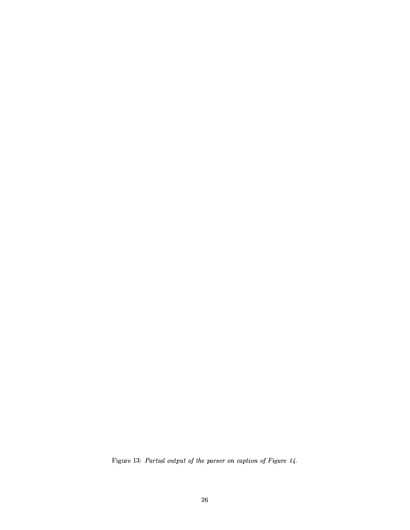Figure 13: Partial output of the parser on caption of Figure 14.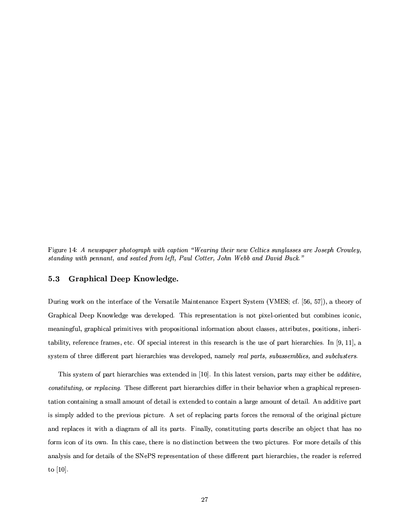Figure 14: A newspaper photograph with caption "Wearing their new Celtics sunglasses are Joseph Crowley, standing with pennant, and seated from left, Paul Cotter, John Webb and David Buck."

#### 5.3 Graphical Deep Knowledge.

During work on the interface of the Versatile Maintenance Expert System (VMES; cf. [56, 57]), a theory of Graphical Deep Knowledge was developed. This representation is not pixel-oriented but combines iconic, meaningful, graphical primitives with propositional information about classes, attributes, positions, inheritability, reference frames, etc. Of special interest in this research is the use of part hierarchies. In [9, 11], a system of three different part hierarchies was developed, namely real parts, subassemblies, and subclusters.

This system of part hierarchies was extended in [10]. In this latest version, parts may either be *additive*, constituting, or replacing. These different part hierarchies differ in their behavior when a graphical representation containing a small amount of detail is extended to contain a large amount of detail. An additive part is simply added to the previous picture. A set of replacing parts forces the removal of the original picture and replaces it with a diagram of all its parts. Finally, constituting parts describe an object that has no form icon of its own. In this case, there is no distinction between the two pictures. For more details of this analysis and for details of the SNePS representation of these different part hierarchies, the reader is referred to  $[10]$ .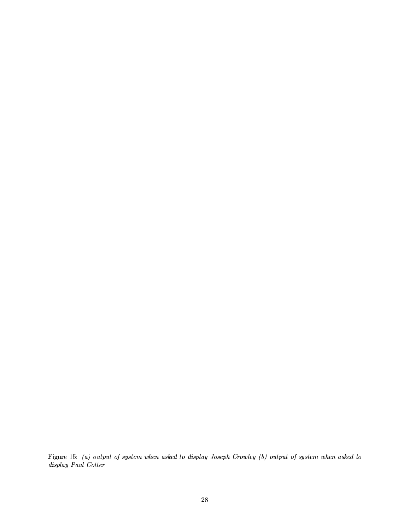Figure 15: (a) output of system when asked to display Joseph Crowley (b) output of system when asked to display Paul Cotter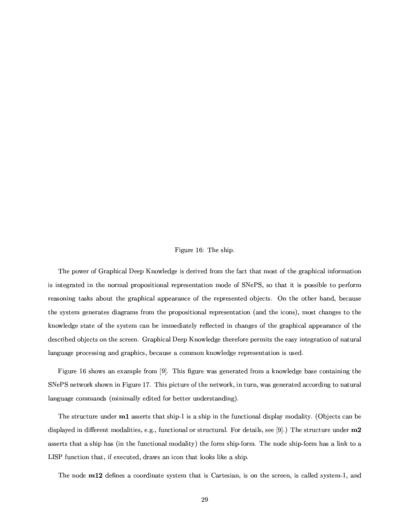# Figure 16: The ship.

The power of Graphical Deep Knowledge is derived from the fact that most of the graphical information is integrated in the normal propositional representation mode of SNePS, so that it is possible to perform reasoning tasks about the graphical appearance of the represented objects. On the other hand, because the system generates diagrams from the propositional representation (and the icons), most changes to the knowledge state of the system can be immediately reflected in changes of the graphical appearance of the described objects on the screen. Graphical Deep Knowledge therefore permits the easy integration of natural language processing and graphics, because a common knowledge representation is used.

Figure 16 shows an example from [9]. This figure was generated from a knowledge base containing the SNePS network shown in Figure 17. This picture of the network, in turn, was generated according to natural language commands (minimally edited for better understanding).

The structure under m1 asserts that ship-1 is a ship in the functional display modality. (Objects can be displayed in different modalities, e.g., functional or structural. For details, see [9].) The structure under  $m2$ asserts that a ship has (in the functional modality) the form ship-form. The node ship-form has a link to a LISP function that, if executed, draws an icon that looks like a ship.

The node m12 defines a coordinate system that is Cartesian, is on the screen, is called system-1, and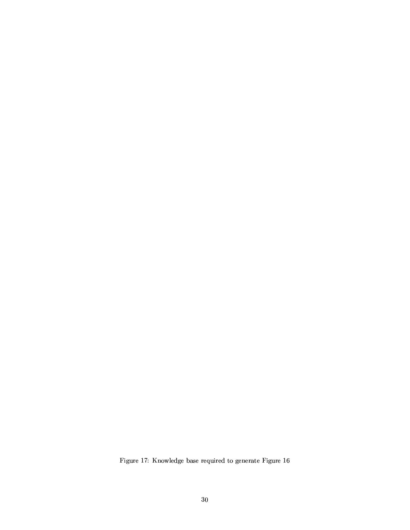Figure 17: Knowledge base required to generate Figure  $16\,$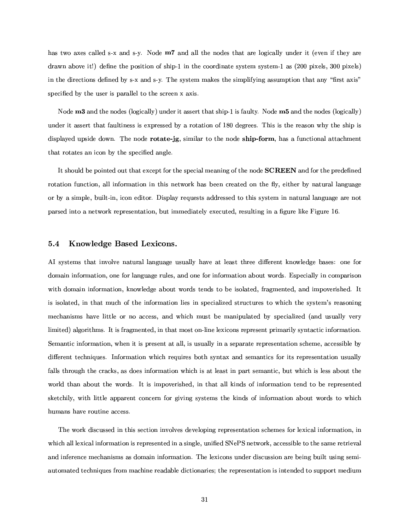has two axes called s-x and s-y. Node m7 and all the nodes that are logically under it (even if they are drawn above it!) define the position of ship-1 in the coordinate system system-1 as (200 pixels, 300 pixels) in the directions defined by s-x and s-y. The system makes the simplifying assumption that any "first axis" specified by the user is parallel to the screen x axis.

Node **m3** and the nodes (logically) under it assert that ship-1 is faulty. Node **m5** and the nodes (logically) under it assert that faultiness is expressed by a rotation of 180 degrees. This is the reason why the ship is displayed upside down. The node rotate-jg, similar to the node ship-form, has a functional attachment that rotates an icon by the specified angle.

It should be pointed out that except for the special meaning of the node **SCREEN** and for the predefined rotation function, all information in this network has been created on the fly, either by natural language or by a simple, built-in, icon editor. Display requests addressed to this system in natural language are not parsed into a network representation, but immediately executed, resulting in a figure like Figure 16.

#### **Knowledge Based Lexicons.**  $5.4$

AI systems that involve natural language usually have at least three different knowledge bases: one for domain information, one for language rules, and one for information about words. Especially in comparison with domain information, knowledge about words tends to be isolated, fragmented, and impoverished. It is isolated, in that much of the information lies in specialized structures to which the system's reasoning mechanisms have little or no access, and which must be manipulated by specialized (and usually very limited) algorithms. It is fragmented, in that most on-line lexicons represent primarily syntactic information. Semantic information, when it is present at all, is usually in a separate representation scheme, accessible by different techniques. Information which requires both syntax and semantics for its representation usually falls through the cracks, as does information which is at least in part semantic, but which is less about the world than about the words. It is impoverished, in that all kinds of information tend to be represented sketchily, with little apparent concern for giving systems the kinds of information about words to which humans have routine access.

The work discussed in this section involves developing representation schemes for lexical information, in which all lexical information is represented in a single, unified SNePS network, accessible to the same retrieval and inference mechanisms as domain information. The lexicons under discussion are being built using semiautomated techniques from machine readable dictionaries; the representation is intended to support medium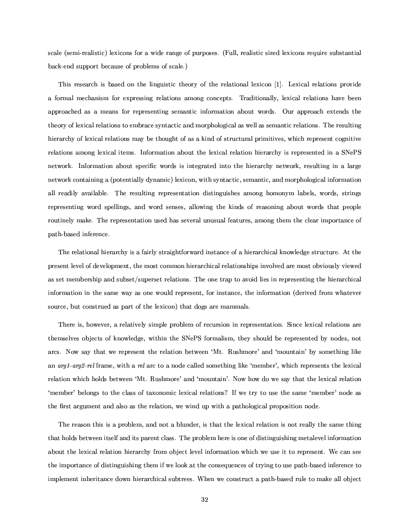scale (semi-realistic) lexicons for a wide range of purposes. (Full, realistic sized lexicons require substantial back-end support because of problems of scale.)

This research is based on the linguistic theory of the relational lexicon [1]. Lexical relations provide a formal mechanism for expressing relations among concepts. Traditionally, lexical relations have been approached as a means for representing semantic information about words. Our approach extends the theory of lexical relations to embrace syntactic and morphological as well as semantic relations. The resulting hierarchy of lexical relations may be thought of as a kind of structural primitives, which represent cognitive relations among lexical items. Information about the lexical relation hierarchy is represented in a SNePS network. Information about specific words is integrated into the hierarchy network, resulting in a large network containing a (potentially dynamic) lexicon, with syntactic, semantic, and morphological information all readily available. The resulting representation distinguishes among homonym labels, words, strings representing word spellings, and word senses, allowing the kinds of reasoning about words that people routinely make. The representation used has several unusual features, among them the clear importance of path-based inference.

The relational hierarchy is a fairly straightforward instance of a hierarchical knowledge structure. At the present level of development, the most common hierarchical relationships involved are most obviously viewed as set membership and subset/superset relations. The one trap to avoid lies in representing the hierarchical information in the same way as one would represent, for instance, the information (derived from whatever source, but construed as part of the lexicon) that dogs are mammals.

There is, however, a relatively simple problem of recursion in representation. Since lexical relations are themselves objects of knowledge, within the SNePS formalism, they should be represented by nodes, not arcs. Now say that we represent the relation between 'Mt. Rushmore' and 'mountain' by something like an arg1-arg2-rel frame, with a rel arc to a node called something like 'member', which represents the lexical relation which holds between 'Mt. Rushmore' and 'mountain'. Now how do we say that the lexical relation 'member' belongs to the class of taxonomic lexical relations? If we try to use the same 'member' node as the first argument and also as the relation, we wind up with a pathological proposition node.

The reason this is a problem, and not a blunder, is that the lexical relation is not really the same thing that holds between itself and its parent class. The problem here is one of distinguishing metalevel information about the lexical relation hierarchy from object level information which we use it to represent. We can see the importance of distinguishing them if we look at the consequences of trying to use path-based inference to implement inheritance down hierarchical subtrees. When we construct a path-based rule to make all object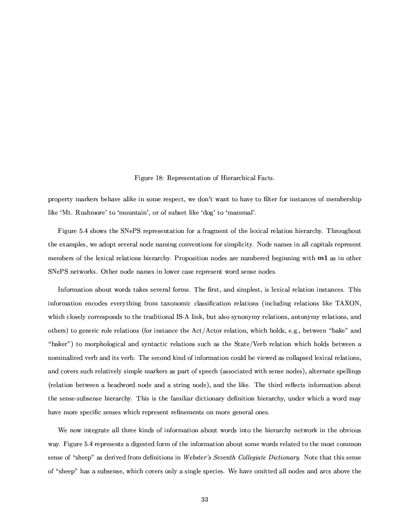# Figure 18: Representation of Hierarchical Facts.

property markers behave alike in some respect, we don't want to have to filter for instances of membership like 'Mt. Rushmore' to 'mountain', or of subset like 'dog' to 'mammal'.

Figure 5.4 shows the SNePS representation for a fragment of the lexical relation hierarchy. Throughout the examples, we adopt several node naming conventions for simplicity. Node names in all capitals represent members of the lexical relations hierarchy. Proposition nodes are numbered beginning with m1 as in other SNePS networks. Other node names in lower case represent word sense nodes.

Information about words takes several forms. The first, and simplest, is lexical relation instances. This information encodes everything from taxonomic classification relations (including relations like TAXON, which closely corresponds to the traditional IS-A link, but also synonymy relations, antonymy relations, and others) to generic role relations (for instance the Act/Actor relation, which holds, e.g., between "bake" and "baker") to morphological and syntactic relations such as the State/Verb relation which holds between a nominalized verb and its verb. The second kind of information could be viewed as collapsed lexical relations, and covers such relatively simple markers as part of speech (associated with sense nodes), alternate spellings (relation between a headword node and a string node), and the like. The third reflects information about the sense-subsense hierarchy. This is the familiar dictionary definition hierarchy, under which a word may have more specific senses which represent refinements on more general ones.

We now integrate all three kinds of information about words into the hierarchy network in the obvious way. Figure 5.4 represents a digested form of the information about some words related to the most common sense of "sheep" as derived from definitions in Webster's Seventh Collegiate Dictionary. Note that this sense of "sheep" has a subsense, which covers only a single species. We have omitted all nodes and arcs above the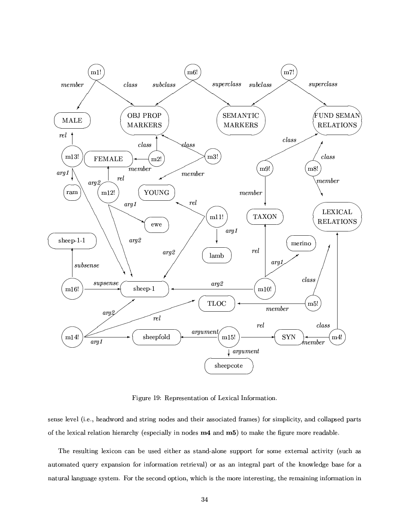

Figure 19: Representation of Lexical Information.

sense level (i.e., headword and string nodes and their associated frames) for simplicity, and collapsed parts of the lexical relation hierarchy (especially in nodes  $m4$  and  $m5$ ) to make the figure more readable.

The resulting lexicon can be used either as stand-alone support for some external activity (such as automated query expansion for information retrieval) or as an integral part of the knowledge base for a natural language system. For the second option, which is the more interesting, the remaining information in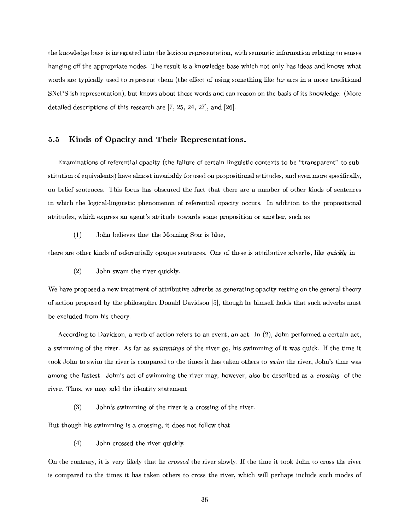the knowledge base is integrated into the lexicon representation, with semantic information relating to senses hanging off the appropriate nodes. The result is a knowledge base which not only has ideas and knows what words are typically used to represent them (the effect of using something like lex arcs in a more traditional SNePS-ish representation), but knows about those words and can reason on the basis of its knowledge. (More detailed descriptions of this research are  $[7, 25, 24, 27]$ , and  $[26]$ .

#### $5.5$ Kinds of Opacity and Their Representations.

Examinations of referential opacity (the failure of certain linguistic contexts to be "transparent" to substitution of equivalents) have almost invariably focused on propositional attitudes, and even more specifically, on belief sentences. This focus has obscured the fact that there are a number of other kinds of sentences in which the logical-linguistic phenomenon of referential opacity occurs. In addition to the propositional attitudes, which express an agent's attitude towards some proposition or another, such as

 $(1)$ John believes that the Morning Star is blue,

there are other kinds of referentially opaque sentences. One of these is attributive adverbs, like quickly in

 $(2)$ John swam the river quickly.

We have proposed a new treatment of attributive adverbs as generating opacity resting on the general theory of action proposed by the philosopher Donald Davidson [5], though he himself holds that such adverbs must be excluded from his theory.

According to Davidson, a verb of action refers to an event, an act. In  $(2)$ , John performed a certain act, a swimming of the river. As far as *swimmings* of the river go, his swimming of it was quick. If the time it took John to swim the river is compared to the times it has taken others to *swim* the river, John's time was among the fastest. John's act of swimming the river may, however, also be described as a crossing of the river. Thus, we may add the identity statement

 $(3)$ John's swimming of the river is a crossing of the river.

But though his swimming is a crossing, it does not follow that

 $(4)$ John crossed the river quickly.

On the contrary, it is very likely that he crossed the river slowly. If the time it took John to cross the river is compared to the times it has taken others to cross the river, which will perhaps include such modes of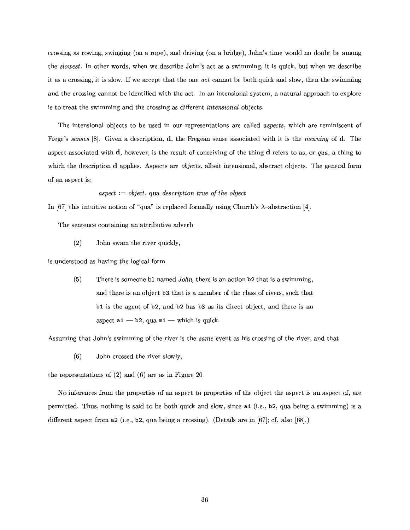crossing as rowing, swinging (on a rope), and driving (on a bridge), John's time would no doubt be among the slowest. In other words, when we describe John's act as a swimming, it is quick, but when we describe it as a crossing, it is slow. If we accept that the one *act* cannot be both quick and slow, then the swimming and the crossing cannot be identified with the act. In an intensional system, a natural approach to explore is to treat the swimming and the crossing as different *intensional* objects.

The intensional objects to be used in our representations are called *aspects*, which are reminiscent of Frege's senses  $[8]$ . Given a description, d, the Fregean sense associated with it is the meaning of d. The aspect associated with  $d$ , however, is the result of conceiving of the thing  $d$  refers to as, or qua, a thing to which the description d applies. Aspects are *objects*, albeit intensional, abstract objects. The general form of an aspect is:

$$
aspect := object, qua description true of the object
$$

In [67] this intuitive notion of "qua" is replaced formally using Church's  $\lambda$ -abstraction [4].

The sentence containing an attributive adverb

 $(2)$ John swam the river quickly,

is understood as having the logical form

 $(5)$ There is someone b1 named *John*, there is an action b2 that is a swimming, and there is an object **b3** that is a member of the class of rivers, such that b1 is the agent of b2, and b2 has b3 as its direct object, and there is an aspect  $a1 - b2$ , qua m1 - which is quick.

Assuming that John's swimming of the river is the *same* event as his crossing of the river, and that

 $(6)$ John crossed the river slowly,

the representations of  $(2)$  and  $(6)$  are as in Figure 20

No inferences from the properties of an aspect to properties of the object the aspect is an aspect of, are permitted. Thus, nothing is said to be both quick and slow, since a1 (i.e., b2, qua being a swimming) is a different aspect from a  $(i.e., b2, qua being a crossing)$ . (Details are in [67]; cf. also [68].)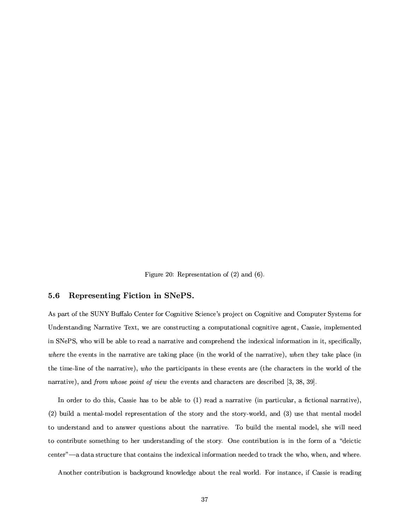Figure 20: Representation of  $(2)$  and  $(6)$ .

#### Representing Fiction in SNePS. 5.6

As part of the SUNY Buffalo Center for Cognitive Science's project on Cognitive and Computer Systems for Understanding Narrative Text, we are constructing a computational cognitive agent, Cassie, implemented in SNePS, who will be able to read a narrative and comprehend the indexical information in it, specifically, *where* the events in the narrative are taking place (in the world of the narrative), when they take place (in the time-line of the narrative), who the participants in these events are (the characters in the world of the narrative), and from whose point of view the events and characters are described [3, 38, 39].

In order to do this, Cassie has to be able to  $(1)$  read a narrative (in particular, a fictional narrative), (2) build a mental-model representation of the story and the story-world, and (3) use that mental model to understand and to answer questions about the narrative. To build the mental model, she will need to contribute something to her understanding of the story. One contribution is in the form of a "deictic center"-a data structure that contains the indexical information needed to track the who, when, and where.

Another contribution is background knowledge about the real world. For instance, if Cassie is reading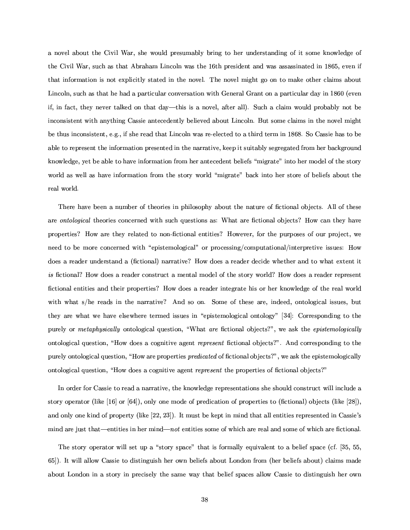a novel about the Civil War, she would presumably bring to her understanding of it some knowledge of the Civil War, such as that Abraham Lincoln was the 16th president and was assassinated in 1865, even if that information is not explicitly stated in the novel. The novel might go on to make other claims about Lincoln, such as that he had a particular conversation with General Grant on a particular day in 1860 (even if, in fact, they never talked on that day—this is a novel, after all). Such a claim would probably not be inconsistent with anything Cassie antecedently believed about Lincoln. But some claims in the novel might be thus inconsistent, e.g., if she read that Lincoln was re-elected to a third term in 1868. So Cassie has to be able to represent the information presented in the narrative, keep it suitably segregated from her background knowledge, yet be able to have information from her antecedent beliefs "migrate" into her model of the story world as well as have information from the story world "migrate" back into her store of beliefs about the real world.

There have been a number of theories in philosophy about the nature of fictional objects. All of these are *ontological* theories concerned with such questions as: What are fictional objects? How can they have properties? How are they related to non-fictional entities? However, for the purposes of our project, we need to be more concerned with "epistemological" or processing/computational/interpretive issues: How does a reader understand a (fictional) narrative? How does a reader decide whether and to what extent it is fictional? How does a reader construct a mental model of the story world? How does a reader represent fictional entities and their properties? How does a reader integrate his or her knowledge of the real world with what s/he reads in the narrative? And so on. Some of these are, indeed, ontological issues, but they are what we have elsewhere termed issues in "epistemological ontology" [34]: Corresponding to the purely or *metaphysically* ontological question, "What are fictional objects?", we ask the *epistemologically* ontological question, "How does a cognitive agent represent fictional objects?". And corresponding to the purely ontological question, "How are properties *predicated* of fictional objects?", we ask the epistemologically ontological question, "How does a cognitive agent represent the properties of fictional objects?"

In order for Cassie to read a narrative, the knowledge representations she should construct will include a story operator (like [16] or [64]), only one mode of predication of properties to (fictional) objects (like [28]). and only one kind of property (like [22, 23]). It must be kept in mind that all entities represented in Cassie's mind are just that—entities in her mind—not entities some of which are real and some of which are fictional.

The story operator will set up a "story space" that is formally equivalent to a belief space (cf. [35, 55.] 65]). It will allow Cassie to distinguish her own beliefs about London from (her beliefs about) claims made about London in a story in precisely the same way that belief spaces allow Cassie to distinguish her own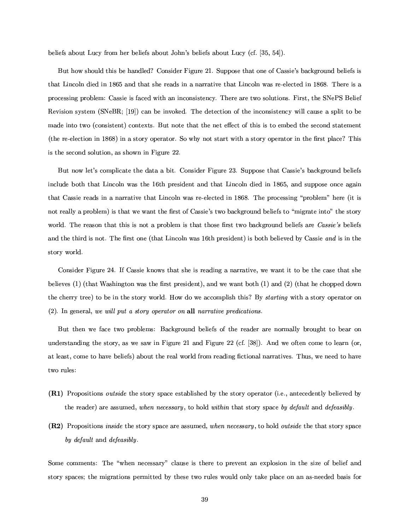beliefs about Lucy from her beliefs about John's beliefs about Lucy (cf. [35, 54]).

But how should this be handled? Consider Figure 21. Suppose that one of Cassie's background beliefs is that Lincoln died in 1865 and that she reads in a narrative that Lincoln was re-elected in 1868. There is a processing problem: Cassie is faced with an inconsistency. There are two solutions. First, the SNePS Belief Revision system (SNeBR; [19]) can be invoked. The detection of the inconsistency will cause a split to be made into two (consistent) contexts. But note that the net effect of this is to embed the second statement (the re-election in 1868) in a story operator. So why not start with a story operator in the first place? This is the second solution, as shown in Figure 22.

But now let's complicate the data a bit. Consider Figure 23. Suppose that Cassie's background beliefs include both that Lincoln was the 16th president and that Lincoln died in 1865, and suppose once again that Cassie reads in a narrative that Lincoln was re-elected in 1868. The processing "problem" here (it is not really a problem) is that we want the first of Cassie's two background beliefs to "migrate into" the story world. The reason that this is not a problem is that those first two background beliefs are Cassie's beliefs and the third is not. The first one (that Lincoln was 16th president) is both believed by Cassie and is in the story world.

Consider Figure 24. If Cassie knows that she is reading a narrative, we want it to be the case that she believes  $(1)$  (that Washington was the first president), and we want both  $(1)$  and  $(2)$  (that he chopped down the cherry tree) to be in the story world. How do we accomplish this? By *starting* with a story operator on  $(2)$ . In general, we will put a story operator on all narrative predications.

But then we face two problems: Background beliefs of the reader are normally brought to bear on understanding the story, as we saw in Figure 21 and Figure 22 (cf.  $[38]$ ). And we often come to learn (or, at least, come to have beliefs) about the real world from reading fictional narratives. Thus, we need to have two rules:

- (R1) Propositions *outside* the story space established by the story operator (i.e., antecedently believed by the reader) are assumed, when necessary, to hold within that story space by default and defeasibly.
- (R2) Propositions *inside* the story space are assumed, when necessary, to hold *outside* the that story space by default and defeasibly.

Some comments: The "when necessary" clause is there to prevent an explosion in the size of belief and story spaces; the migrations permitted by these two rules would only take place on an as-needed basis for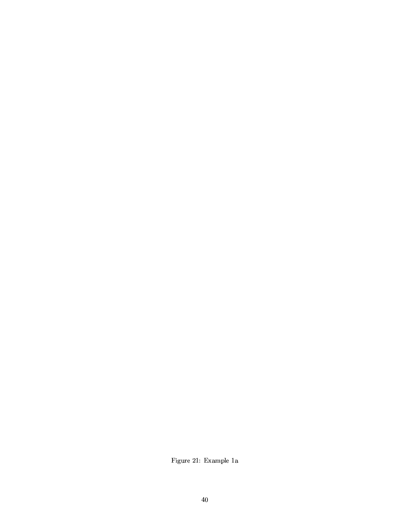Figure 21: Example 1a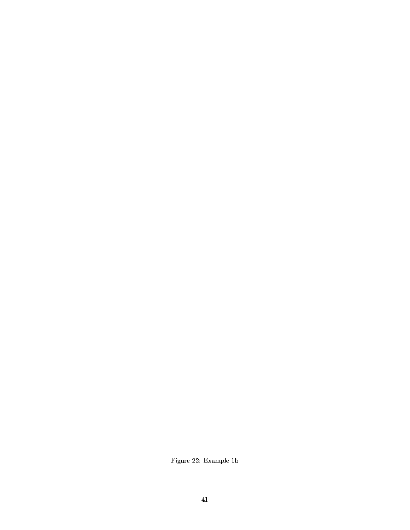Figure 22: Example 1b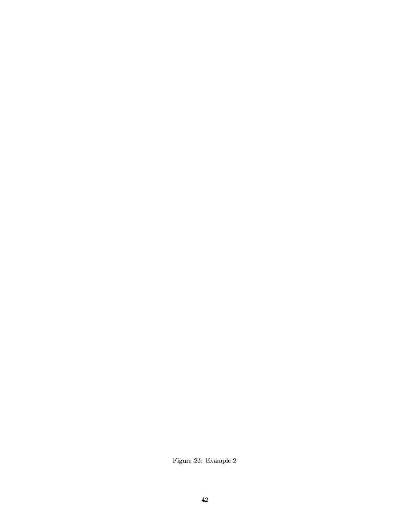Figure 23: Example 2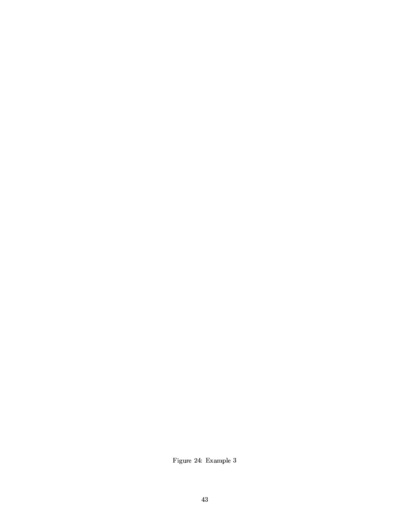Figure 24: Example 3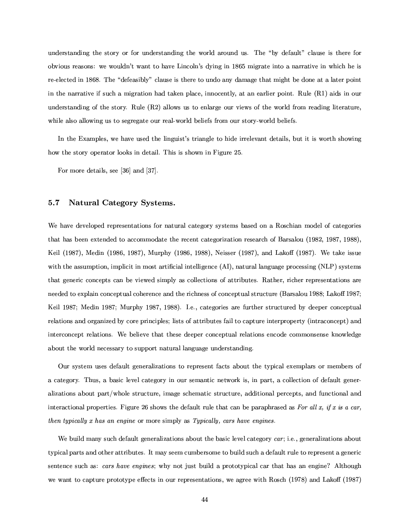understanding the story or for understanding the world around us. The "by default" clause is there for obvious reasons: we wouldn't want to have Lincoln's dying in 1865 migrate into a narrative in which he is re-elected in 1868. The "defeasibly" clause is there to undo any damage that might be done at a later point in the narrative if such a migration had taken place, innocently, at an earlier point. Rule (R1) aids in our understanding of the story. Rule  $(R2)$  allows us to enlarge our views of the world from reading literature, while also allowing us to segregate our real-world beliefs from our story-world beliefs.

In the Examples, we have used the linguist's triangle to hide irrelevant details, but it is worth showing how the story operator looks in detail. This is shown in Figure 25.

For more details, see [36] and [37].

#### $5.7$ **Natural Category Systems.**

We have developed representations for natural category systems based on a Roschian model of categories that has been extended to accommodate the recent categorization research of Barsalou (1982, 1987, 1988), Keil (1987), Medin (1986, 1987), Murphy (1986, 1988), Neisser (1987), and Lakoff (1987). We take issue with the assumption, implicit in most artificial intelligence  $(AI)$ , natural language processing (NLP) systems that generic concepts can be viewed simply as collections of attributes. Rather, richer representations are needed to explain conceptual coherence and the richness of conceptual structure (Barsalou 1988; Lakoff 1987; Keil 1987; Medin 1987; Murphy 1987, 1988). I.e., categories are further structured by deeper conceptual relations and organized by core principles; lists of attributes fail to capture interproperty (intraconcept) and interconcept relations. We believe that these deeper conceptual relations encode commonsense knowledge about the world necessary to support natural language understanding.

Our system uses default generalizations to represent facts about the typical exemplars or members of a category. Thus, a basic level category in our semantic network is, in part, a collection of default generalizations about part/whole structure, image schematic structure, additional percepts, and functional and interactional properties. Figure 26 shows the default rule that can be paraphrased as For all x, if x is a car, then typically x has an engine or more simply as Typically, cars have engines.

We build many such default generalizations about the basic level category car; i.e., generalizations about typical parts and other attributes. It may seem cumbersome to build such a default rule to represent a generic sentence such as: cars have engines; why not just build a prototypical car that has an engine? Although we want to capture prototype effects in our representations, we agree with Rosch (1978) and Lakoff (1987)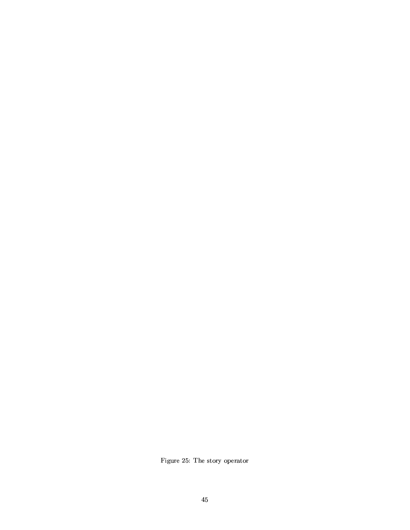Figure 25: The story operator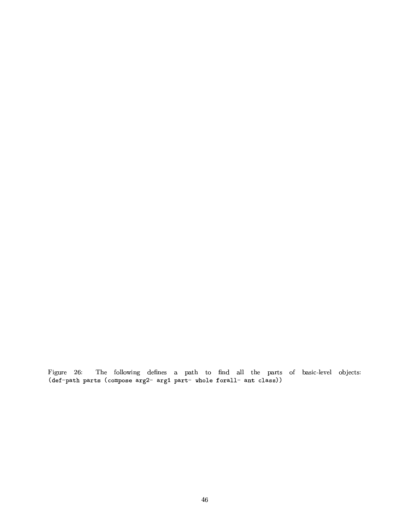Figure 26: The following defines a path to find all the parts of basic-level objects:<br>(def-path parts (compose  $arg2- arg1 part$  whole forall- ant class))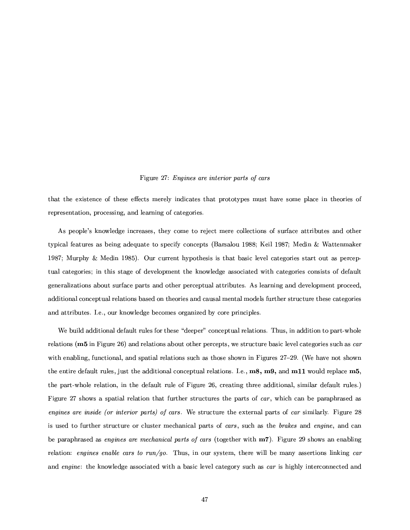# Figure 27: Engines are interior parts of cars

that the existence of these effects merely indicates that prototypes must have some place in theories of representation, processing, and learning of categories.

As people's knowledge increases, they come to reject mere collections of surface attributes and other typical features as being adequate to specify concepts (Barsalou 1988; Keil 1987; Medin & Wattenmaker 1987; Murphy & Medin 1985). Our current hypothesis is that basic level categories start out as perceptual categories; in this stage of development the knowledge associated with categories consists of default generalizations about surface parts and other perceptual attributes. As learning and development proceed, additional conceptual relations based on theories and causal mental models further structure these categories and attributes. I.e., our knowledge becomes organized by core principles.

We build additional default rules for these "deeper" conceptual relations. Thus, in addition to part-whole relations (m5 in Figure 26) and relations about other percepts, we structure basic level categories such as car with enabling, functional, and spatial relations such as those shown in Figures 27–29. (We have not shown the entire default rules, just the additional conceptual relations. I.e., m8, m9, and m11 would replace m5, the part-whole relation, in the default rule of Figure 26, creating three additional, similar default rules.) Figure 27 shows a spatial relation that further structures the parts of car, which can be paraphrased as engines are inside (or interior parts) of cars. We structure the external parts of car similarly. Figure 28 is used to further structure or cluster mechanical parts of cars, such as the brakes and engine, and can be paraphrased as *engines are mechanical parts of cars* (together with m7). Figure 29 shows an enabling relation: engines enable cars to  $run/go$ . Thus, in our system, there will be many assertions linking car and engine: the knowledge associated with a basic level category such as car is highly interconnected and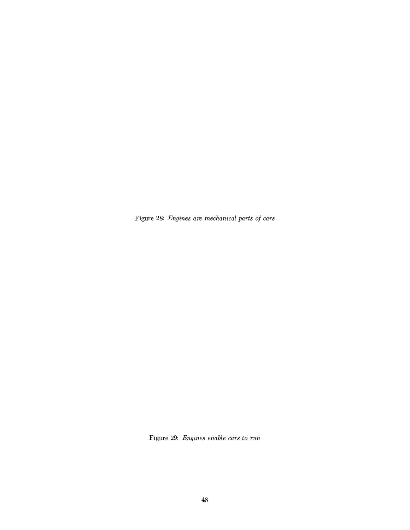Figure 28: Engines are mechanical parts of cars

Figure 29: Engines enable cars to run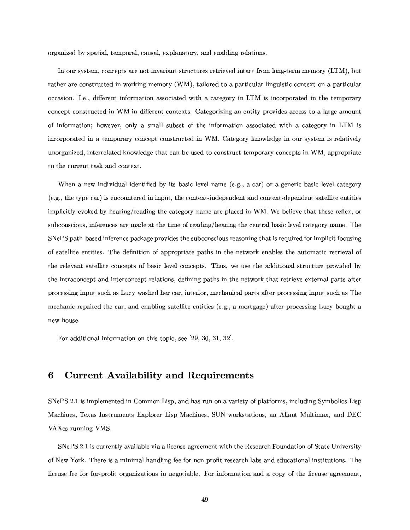organized by spatial, temporal, causal, explanatory, and enabling relations.

In our system, concepts are not invariant structures retrieved intact from long-term memory (LTM), but rather are constructed in working memory (WM), tailored to a particular linguistic context on a particular occasion. I.e., different information associated with a category in LTM is incorporated in the temporary concept constructed in WM in different contexts. Categorizing an entity provides access to a large amount of information; however, only a small subset of the information associated with a category in LTM is incorporated in a temporary concept constructed in WM. Category knowledge in our system is relatively unorganized, interrelated knowledge that can be used to construct temporary concepts in WM, appropriate to the current task and context.

When a new individual identified by its basic level name (e.g., a car) or a generic basic level category (e.g., the type car) is encountered in input, the context-independent and context-dependent satellite entities implicitly evoked by hearing/reading the category name are placed in WM. We believe that these reflex, or subconscious, inferences are made at the time of reading/hearing the central basic level category name. The SNePS path-based inference package provides the subconscious reasoning that is required for implicit focusing of satellite entities. The definition of appropriate paths in the network enables the automatic retrieval of the relevant satellite concepts of basic level concepts. Thus, we use the additional structure provided by the intraconcept and interconcept relations, defining paths in the network that retrieve external parts after processing input such as Lucy washed her car, interior, mechanical parts after processing input such as The mechanic repaired the car, and enabling satellite entities (e.g., a mortgage) after processing Lucy bought a new house.

For additional information on this topic, see [29, 30, 31, 32].

## $\boldsymbol{6}$ **Current Availability and Requirements**

SNePS 2.1 is implemented in Common Lisp, and has run on a variety of platforms, including Symbolics Lisp Machines, Texas Instruments Explorer Lisp Machines, SUN workstations, an Aliant Multimax, and DEC VAXes running VMS.

SNePS 2.1 is currently available via a license agreement with the Research Foundation of State University of New York. There is a minimal handling fee for non-profit research labs and educational institutions. The license fee for for-profit organizations in negotiable. For information and a copy of the license agreement,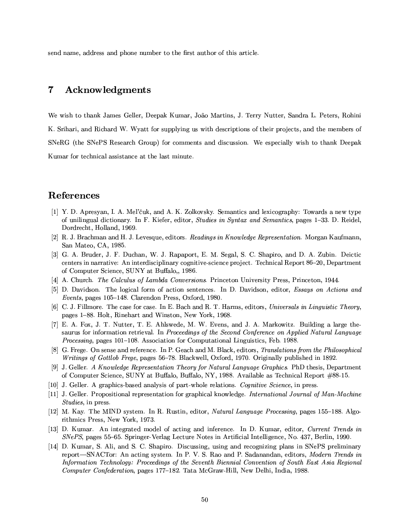send name, address and phone number to the first author of this article.

# $\overline{7}$  ${\bf Acknowledgments}$

We wish to thank James Geller, Deepak Kumar, João Martins, J. Terry Nutter, Sandra L. Peters, Rohini K. Srihari, and Richard W. Wyatt for supplying us with descriptions of their projects, and the members of SNeRG (the SNePS Research Group) for comments and discussion. We especially wish to thank Deepak Kumar for technical assistance at the last minute.

# References

- [1] Y. D. Apresyan, I. A. Mel'čuk, and A. K. Zolkovsky. Semantics and lexicography: Towards a new type of unilingual dictionary. In F. Kiefer, editor, Studies in Syntax and Semantics, pages 1-33. D. Reidel, Dordrecht, Holland, 1969.
- [2] R. J. Brachman and H. J. Levesque, editors. Readings in Knowledge Representation. Morgan Kaufmann, San Mateo, CA, 1985.
- [3] G. A. Bruder, J. F. Duchan, W. J. Rapaport, E. M. Segal, S. C. Shapiro, and D. A. Zubin. Deictic centers in narrative: An interdisciplinary cognitive-science project. Technical Report 86–20, Department of Computer Science, SUNY at Buffalo,, 1986.
- [4] A. Church. The Calculus of Lambda Conversions. Princeton University Press, Princeton, 1944.
- [5] D. Davidson. The logical form of action sentences. In D. Davidson, editor, Essays on Actions and Events, pages 105-148. Clarendon Press, Oxford, 1980.
- [6] C. J. Fillmore. The case for case. In E. Bach and R. T. Harms, editors, Universals in Linguistic Theory, pages 1-88. Holt, Rinehart and Winston, New York, 1968.
- [7] E. A. Fox, J. T. Nutter, T. E. Ahlswede, M. W. Evens, and J. A. Markowitz. Building a large thesaurus for information retrieval. In Proceedings of the Second Conference on Applied Natural Language Processing, pages 101-108. Association for Computational Linguistics, Feb. 1988.
- [8] G. Frege. On sense and reference. In P. Geach and M. Black, editors, Translations from the Philosophical Writings of Gottlob Frege, pages 56-78. Blackwell, Oxford, 1970. Originally published in 1892.
- [9] J. Geller. A Knowledge Representation Theory for Natural Language Graphics. PhD thesis, Department of Computer Science, SUNY at Buffalo, Buffalo, NY, 1988. Available as Technical Report #88-15.
- [10] J. Geller. A graphics-based analysis of part-whole relations. Cognitive Science, in press.
- [11] J. Geller. Propositional representation for graphical knowledge. International Journal of Man-Machine *Studies*, in press.
- [12] M. Kay. The MIND system. In R. Rustin, editor, *Natural Language Processing*, pages 155–188. Algorithmics Press, New York, 1973.
- [13] D. Kumar. An integrated model of acting and inference. In D. Kumar, editor, Current Trends in SNePS, pages 55–65. Springer-Verlag Lecture Notes in Artificial Intelligence, No. 437, Berlin, 1990.
- [14] D. Kumar, S. Ali, and S. C. Shapiro. Discussing, using and recognizing plans in SNePS preliminary report—SNACTor: An acting system. In P. V. S. Rao and P. Sadanandan, editors, Modern Trends in Information Technology: Proceedings of the Seventh Biennial Convention of South East Asia Regional Computer Confederation, pages 177-182. Tata McGraw-Hill, New Delhi, India, 1988.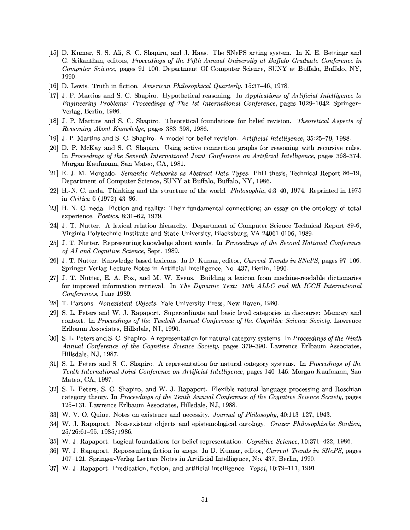- [15] D. Kumar, S. S. Ali, S. C. Shapiro, and J. Haas. The SNePS acting system. In K. E. Bettingr and G. Srikanthan, editors, Proceedings of the Fifth Annual University at Buffalo Graduate Conference in Computer Science, pages 91–100. Department Of Computer Science, SUNY at Buffalo, Buffalo, NY, 1990.
- [16] D. Lewis. Truth in fiction. American Philosophical Quarterly, 15:37-46, 1978.
- [17] J. P. Martins and S. C. Shapiro. Hypothetical reasoning. In Applications of Artificial Intelligence to Engineering Problems: Proceedings of The 1st International Conference, pages 1029-1042. Springer-Verlag, Berlin, 1986.
- [18] J. P. Martins and S. C. Shapiro. Theoretical foundations for belief revision. Theoretical Aspects of Reasoning About Knowledge, pages 383-398, 1986.
- [19] J. P. Martins and S. C. Shapiro. A model for belief revision. Artificial Intelligence, 35:25-79, 1988.
- [20] D. P. McKay and S. C. Shapiro. Using active connection graphs for reasoning with recursive rules. In Proceedings of the Seventh International Joint Conference on Artificial Intelligence, pages 368-374. Morgan Kaufmann, San Mateo, CA, 1981.
- [21] E. J. M. Morgado. Semantic Networks as Abstract Data Types. PhD thesis, Technical Report 86–19, Department of Computer Science, SUNY at Buffalo, Buffalo, NY, 1986.
- [22] H.-N. C. neda. Thinking and the structure of the world. *Philosophia*, 4:3-40, 1974. Reprinted in 1975 in *Critica*  $6(1972)$  43-86.
- [23] H.-N. C. neda. Fiction and reality: Their fundamental connections; an essay on the ontology of total experience. Poetics, 8:31-62, 1979.
- [24] J. T. Nutter. A lexical relation hierarchy. Department of Computer Science Technical Report 89-6, Virginia Polytechnic Institute and State University, Blacksburg, VA 24061-0106, 1989.
- [25] J. T. Nutter. Representing knowledge about words. In Proceedings of the Second National Conference of AI and Cognitive Science, Sept. 1989.
- [26] J. T. Nutter. Knowledge based lexicons. In D. Kumar, editor, Current Trends in SNePS, pages 97-106. Springer-Verlag Lecture Notes in Artificial Intelligence, No. 437, Berlin, 1990.
- [27] J. T. Nutter, E. A. Fox, and M. W. Evens. Building a lexicon from machine-readable dictionaries for improved information retrieval. In The Dynamic Text: 16th ALLC and 9th ICCH International Conferences, June 1989.
- [28] T. Parsons. Nonexistent Objects. Yale University Press, New Haven, 1980.
- [29] S. L. Peters and W. J. Rapaport. Superordinate and basic level categories in discourse: Memory and context. In Proceedings of the Twelvth Annual Conference of the Cognitive Science Society. Lawrence Erlbaum Associates, Hillsdale, NJ, 1990.
- [30] S. L. Peters and S. C. Shapiro. A representation for natural category systems. In Proceedings of the Ninth Annual Conference of the Cognitive Science Society, pages 379-390. Lawrence Erlbaum Associates, Hillsdale, NJ, 1987.
- [31] S. L. Peters and S. C. Shapiro. A representation for natural category systems. In Proceedings of the Tenth International Joint Conference on Artificial Intelligence, pages 140-146. Morgan Kaufmann, San Mateo, CA, 1987.
- [32] S. L. Peters, S. C. Shapiro, and W. J. Rapaport. Flexible natural language processing and Roschian category theory. In Proceedings of the Tenth Annual Conference of the Cognitive Science Society, pages 125-131. Lawrence Erlbaum Associates, Hillsdale, NJ, 1988.
- [33] W. V. O. Quine. Notes on existence and necessity. Journal of Philosophy, 40:113-127, 1943.
- [34] W. J. Rapaport. Non-existent objects and epistemological ontology. Grazer Philosophische Studien,  $25/26:61-95$ ,  $1985/1986$ .
- [35] W. J. Rapaport. Logical foundations for belief representation. Cognitive Science, 10:371-422, 1986.
- [36] W. J. Rapaport. Representing fiction in sneps. In D. Kumar, editor, Current Trends in SNePS, pages 107-121. Springer-Verlag Lecture Notes in Artificial Intelligence, No. 437, Berlin, 1990.
- [37] W. J. Rapaport. Predication, fiction, and artificial intelligence. Topoi, 10:79-111, 1991.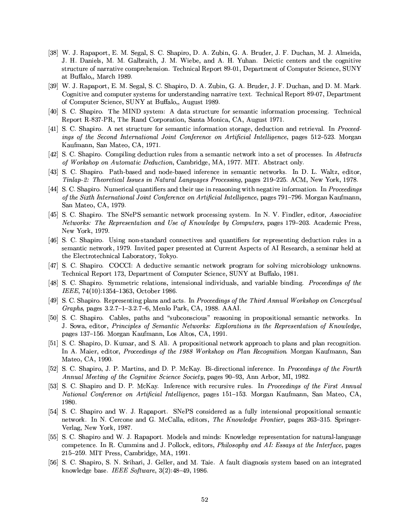- [38] W. J. Rapaport, E. M. Segal, S. C. Shapiro, D. A. Zubin, G. A. Bruder, J. F. Duchan, M. J. Almeida, J. H. Daniels, M. M. Galbraith, J. M. Wiebe, and A. H. Yuhan. Deictic centers and the cognitive structure of narrative comprehension. Technical Report 89-01, Department of Computer Science, SUNY at Buffalo,, March 1989.
- [39] W. J. Rapaport, E. M. Segal, S. C. Shapiro, D. A. Zubin, G. A. Bruder, J. F. Duchan, and D. M. Mark. Cognitive and computer systems for understanding narrative text. Technical Report 89-07, Department of Computer Science, SUNY at Buffalo,, August 1989.
- [40] S. C. Shapiro. The MIND system: A data structure for semantic information processing. Technical Report R-837-PR, The Rand Corporation, Santa Monica, CA, August 1971.
- [41] S. C. Shapiro. A net structure for semantic information storage, deduction and retrieval. In Proceedings of the Second International Joint Conference on Artificial Intelligence, pages 512-523. Morgan Kaufmann, San Mateo, CA, 1971.
- [42] S. C. Shapiro. Compiling deduction rules from a semantic network into a set of processes. In Abstracts of Workshop on Automatic Deduction, Cambridge, MA, 1977. MIT. Abstract only.
- [43] S. C. Shapiro. Path-based and node-based inference in semantic networks. In D. L. Waltz, editor, Tinlap-2: Theoretical Issues in Natural Languages Processing, pages 219-225. ACM, New York, 1978.
- [44] S. C. Shapiro. Numerical quantifiers and their use in reasoning with negative information. In Proceedings of the Sixth International Joint Conference on Artificial Intelligence, pages 791–796. Morgan Kaufmann, San Mateo, CA, 1979.
- [45] S. C. Shapiro. The SNePS semantic network processing system. In N. V. Findler, editor, Associative Networks: The Representation and Use of Knowledge by Computers, pages 179-203. Academic Press, New York, 1979.
- [46] S. C. Shapiro. Using non-standard connectives and quantifiers for representing deduction rules in a semantic network, 1979. Invited paper presented at Current Aspects of AI Research, a seminar held at the Electrotechnical Laboratory, Tokyo.
- [47] S. C. Shapiro. COCCI: A deductive semantic network program for solving microbiology unknowns. Technical Report 173, Department of Computer Science, SUNY at Buffalo, 1981.
- [48] S. C. Shapiro. Symmetric relations, intensional individuals, and variable binding. Proceedings of the IEEE, 74(10):1354-1363, October 1986.
- [49] S. C. Shapiro. Representing plans and acts. In Proceedings of the Third Annual Workshop on Conceptual Graphs, pages 3.2.7-1-3.2.7-6, Menlo Park, CA, 1988. AAAI.
- [50] S. C. Shapiro. Cables, paths and "subconscious" reasoning in propositional semantic networks. In J. Sowa, editor, Principles of Semantic Networks: Explorations in the Representation of Knowledge, pages 137–156. Morgan Kaufmann, Los Altos, CA, 1991.
- [51] S. C. Shapiro, D. Kumar, and S. Ali. A propositional network approach to plans and plan recognition. In A. Maier, editor, Proceedings of the 1988 Workshop on Plan Recognition. Morgan Kaufmann, San Mateo, CA, 1990.
- [52] S. C. Shapiro, J. P. Martins, and D. P. McKay. Bi-directional inference. In Proceedings of the Fourth Annual Meeting of the Cognitive Science Society, pages 90–93, Ann Arbor, MI, 1982.
- [53] S. C. Shapiro and D. P. McKay. Inference with recursive rules. In Proceedings of the First Annual National Conference on Artificial Intelligence, pages 151-153. Morgan Kaufmann, San Mateo, CA, 1980.
- [54] S. C. Shapiro and W. J. Rapaport. SNePS considered as a fully intensional propositional semantic network. In N. Cercone and G. McCalla, editors, The Knowledge Frontier, pages 263-315. Springer-Verlag, New York, 1987.
- [55] S. C. Shapiro and W. J. Rapaport. Models and minds: Knowledge representation for natural-language competence. In R. Cummins and J. Pollock, editors, Philosophy and AI: Essays at the Interface, pages 215-259. MIT Press, Cambridge, MA, 1991.
- [56] S. C. Shapiro, S. N. Srihari, J. Geller, and M. Taie. A fault diagnosis system based on an integrated knowledge base. IEEE Software, 3(2):48-49, 1986.